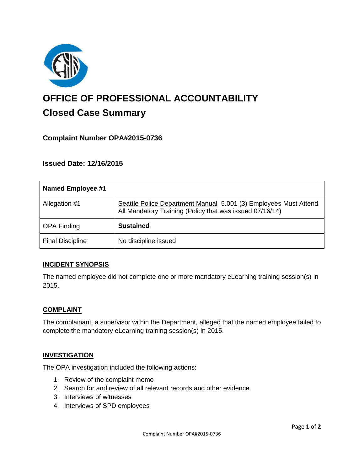

# **OFFICE OF PROFESSIONAL ACCOUNTABILITY Closed Case Summary**

# **Complaint Number OPA#2015-0736**

**Issued Date: 12/16/2015**

| Named Employee #1       |                                                                                                                              |
|-------------------------|------------------------------------------------------------------------------------------------------------------------------|
| Allegation #1           | Seattle Police Department Manual 5.001 (3) Employees Must Attend<br>All Mandatory Training (Policy that was issued 07/16/14) |
| <b>OPA Finding</b>      | <b>Sustained</b>                                                                                                             |
| <b>Final Discipline</b> | No discipline issued                                                                                                         |

#### **INCIDENT SYNOPSIS**

The named employee did not complete one or more mandatory eLearning training session(s) in 2015.

#### **COMPLAINT**

The complainant, a supervisor within the Department, alleged that the named employee failed to complete the mandatory eLearning training session(s) in 2015.

#### **INVESTIGATION**

The OPA investigation included the following actions:

- 1. Review of the complaint memo
- 2. Search for and review of all relevant records and other evidence
- 3. Interviews of witnesses
- 4. Interviews of SPD employees